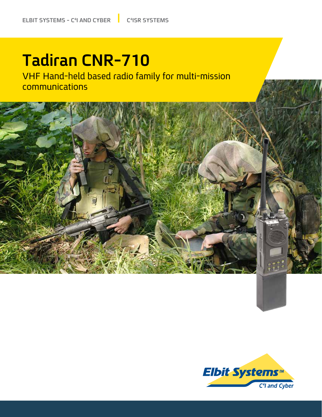## **Tadiran CNR-710**

VHF Hand-held based radio family for multi-mission communications



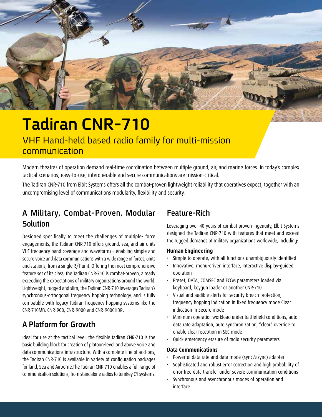

## **Tadiran CNR-710**

VHF Hand-held based radio family for multi-mission communication

Modern theatres of operation demand real-time coordination between multiple ground, air, and marine forces. In today's complex tactical scenarios, easy-to-use, interoperable and secure communications are mission-critical.

The Tadiran CNR-710 from Elbit Systems offers all the combat-proven lightweight reliability that operatives expect, together with an uncompromising level of communications modularity, flexibility and security.

## A Military, Combat-Proven, Modular **Solution**

Designed specifically to meet the challenges of multiple-force engagements, the Tadiran CNR-710 offers ground, sea, and air units VHF frequency band coverage and waveforms – enabling simple and secure voice and data communications with a wide range of forces, units and stations, from a single  $R/T$  unit. Offering the most comprehensive feature set of its class, the Tadiran CNR-710 is combat-proven, already exceeding the expectations of military organizations around the world. Lightweight, rugged and slim, the Tadiran CNR-710 leverages Tadiran's synchronous-orthogonal frequency hopping technology, and is fully compatible with legacy Tadiran frequency hopping systems like the CNR-710MB, CNR-900, CNR-9000 and CNR-9000HDR.

## **Growth for Platform A**

Ideal for use at the tactical level, the flexible tadiran CNR-710 is the basic building block for creation of platoon-level and above voice and data communications infrastructure. With a complete line of add-ons, the Tadiran CNR-710 is available in variety of configuration packages for land, Sea and Airborne. The Tadiran CNR-710 enables a full range of communication solutions, from standalone radios to turnkey C<sup>4</sup>I systems.

## **Rich-Feature**

Leveraging over 40 years of combat-proven ingenuity, Elbit Systems designed the Tadiran CNR-710 with features that meet and exceed the rugged demands of military organizations worldwide, including:

#### **Engineering Human**

- Simple to operate, with all functions unambiguously identified
- Innovative, menu-driven interface, interactive display-quided operation
- Preset, DATA, COMSEC and ECCM parameters loaded via keyboard, keygun loader or another CNR-710
- Visual and audible alerts for security breach protection; frequency hopping indication in fixed frequency mode Clear indication in Secure mode
- Minimum operatior workload under battlefield conditions; auto data rate adaptation, auto synchronization, "clear" override to enable clear reception in SEC mode
- Quick emergency erasure of radio security parameters

#### **Communications Data**

- Powerful data rate and data mode (sync/async) adapter
- Sophisticated and robust error correction and high probability of error-free data transfer under severe communication conditions
- Synchronous and asynchronous modes of operation and interface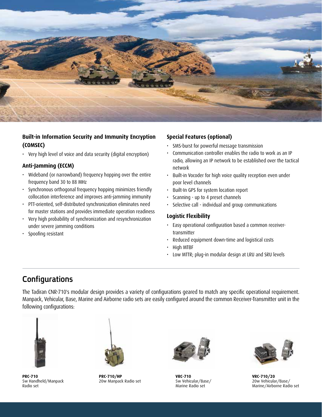

### **Built-in Information Security and Immunity Encryption (COMSEC(**

• Very high level of voice and data security (digital encryption)

#### **Anti-Jamming (ECCM)**

- Wideband (or narrowband) frequency hopping over the entire frequency band 30 to 88 MHz
- Synchronous orthogonal frequency hopping minimizes friendly collocation interference and improves anti-jamming immunity
- PTT-oriented, self-distributed synchronization eliminates need for master stations and provides immediate operation readiness
- Very high probability of synchronization and resynchronization under severe jamming conditions
- Spoofing resistant

#### **Special Features (optional)**

- SMS-burst for powerful message transmission
- Communication controller enables the radio to work as an IP radio, allowing an IP network to be established over the tactical network
- Built-in Vocoder for high voice quality reception even under poor level channels
- Built-In GPS for system location report
- Scanning up to 4 preset channels
- Selective call individual and group communications

#### **Flexibility Logistic**

- Easy operational configuration based a common receiver-<br>transmitter
- Reduced equipment down-time and logistical costs
- High MTBF
- Low MTTR; plug-in modular design at LRU and SRU levels

### **Configurations**

The Tadiran CNR-710's modular design provides a variety of configurations geared to match any specific operational requirement. Manpack, Vehicular, Base, Marine and Airborne radio sets are easily configured around the common Receiver-Transmitter unit in the following configurations:



**PRC-710** 5w Handheld/Manpack Radio set



**PRC-710/HP** 20w Manpack Radio set



**VRC-710** 5w Vehicular/Base/ Marine Radio set



**VRC-710/20** 20w Vehicular/Base/ Marine/Airborne Radio set